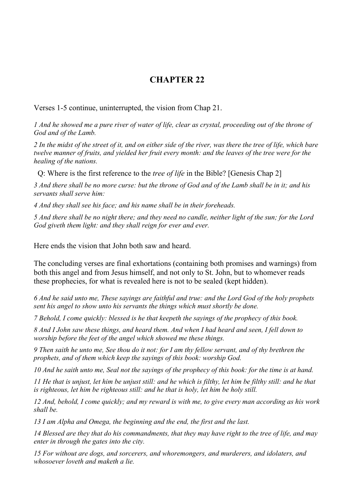## **CHAPTER 22**

Verses 1-5 continue, uninterrupted, the vision from Chap 21.

*1 And he showed me a pure river of water of life, clear as crystal, proceeding out of the throne of God and of the Lamb.*

*2 In the midst of the street of it, and on either side of the river, was there the tree of life, which bare twelve manner of fruits, and yielded her fruit every month: and the leaves of the tree were for the healing of the nations.*

Q: Where is the first reference to the *tree of life* in the Bible? [Genesis Chap 2]

*3 And there shall be no more curse: but the throne of God and of the Lamb shall be in it; and his servants shall serve him:*

*4 And they shall see his face; and his name shall be in their foreheads.*

*5 And there shall be no night there; and they need no candle, neither light of the sun; for the Lord God giveth them light: and they shall reign for ever and ever.*

Here ends the vision that John both saw and heard.

The concluding verses are final exhortations (containing both promises and warnings) from both this angel and from Jesus himself, and not only to St. John, but to whomever reads these prophecies, for what is revealed here is not to be sealed (kept hidden).

*6 And he said unto me, These sayings are faithful and true: and the Lord God of the holy prophets sent his angel to show unto his servants the things which must shortly be done.*

*7 Behold, I come quickly: blessed is he that keepeth the sayings of the prophecy of this book.*

*8 And I John saw these things, and heard them. And when I had heard and seen, I fell down to worship before the feet of the angel which showed me these things.*

*9 Then saith he unto me, See thou do it not: for I am thy fellow servant, and of thy brethren the prophets, and of them which keep the sayings of this book: worship God.*

*10 And he saith unto me, Seal not the sayings of the prophecy of this book: for the time is at hand.*

*11 He that is unjust, let him be unjust still: and he which is filthy, let him be filthy still: and he that is righteous, let him be righteous still: and he that is holy, let him be holy still.*

*12 And, behold, I come quickly; and my reward is with me, to give every man according as his work shall be.*

*13 I am Alpha and Omega, the beginning and the end, the first and the last.*

*14 Blessed are they that do his commandments, that they may have right to the tree of life, and may enter in through the gates into the city.*

*15 For without are dogs, and sorcerers, and whoremongers, and murderers, and idolaters, and whosoever loveth and maketh a lie.*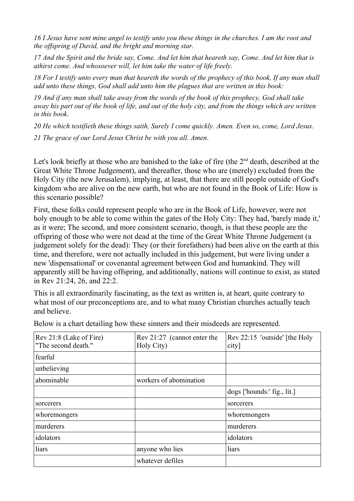*16 I Jesus have sent mine angel to testify unto you these things in the churches. I am the root and the offspring of David, and the bright and morning star.*

*17 And the Spirit and the bride say, Come. And let him that heareth say, Come. And let him that is athirst come. And whosoever will, let him take the water of life freely.*

*18 For I testify unto every man that heareth the words of the prophecy of this book, If any man shall add unto these things, God shall add unto him the plagues that are written in this book:*

*19 And if any man shall take away from the words of the book of this prophecy, God shall take away his part out of the book of life, and out of the holy city, and from the things which are written in this book.*

*20 He which testifieth these things saith, Surely I come quickly. Amen. Even so, come, Lord Jesus. 21 The grace of our Lord Jesus Christ be with you all. Amen*.

Let's look briefly at those who are banished to the lake of fire (the  $2<sup>nd</sup>$  death, described at the Great White Throne Judgement), and thereafter, those who are (merely) excluded from the Holy City (the new Jerusalem), implying, at least, that there are still people outside of God's kingdom who are alive on the new earth, but who are not found in the Book of Life: How is this scenario possible?

First, these folks could represent people who are in the Book of Life, however, were not holy enough to be able to come within the gates of the Holy City: They had, 'barely made it,' as it were; The second, and more consistent scenario, though, is that these people are the offspring of those who were not dead at the time of the Great White Throne Judgement (a judgement solely for the dead): They (or their forefathers) had been alive on the earth at this time, and therefore, were not actually included in this judgement, but were living under a new 'dispensational' or covenantal agreement between God and humankind. They will apparently still be having offspring, and additionally, nations will continue to exist, as stated in Rev 21:24, 26, and 22:2.

This is all extraordinarily fascinating, as the text as written is, at heart, quite contrary to what most of our preconceptions are, and to what many Christian churches actually teach and believe.

| Rev 21:8 (Lake of Fire)<br>"The second death." | Rev 21:27 (cannot enter the<br>Holy City) | Rev 22:15 'outside' [the Holy<br>city] |
|------------------------------------------------|-------------------------------------------|----------------------------------------|
| fearful                                        |                                           |                                        |
| unbelieving                                    |                                           |                                        |
| abominable                                     | workers of abomination                    |                                        |
|                                                |                                           | $\log s$ ['hounds:' fig., lit.]        |
| sorcerers                                      |                                           | sorcerers                              |
| whoremongers                                   |                                           | whoremongers                           |
| murderers                                      |                                           | murderers                              |
| idolators                                      |                                           | idolators                              |
| liars                                          | anyone who lies                           | liars                                  |
|                                                | whatever defiles                          |                                        |

Below is a chart detailing how these sinners and their misdeeds are represented.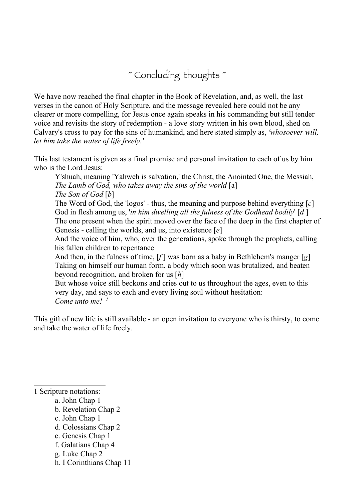~ Concluding thoughts ~

We have now reached the final chapter in the Book of Revelation, and, as well, the last verses in the canon of Holy Scripture, and the message revealed here could not be any clearer or more compelling, for Jesus once again speaks in his commanding but still tender voice and revisits the story of redemption - a love story written in his own blood, shed on Calvary's cross to pay for the sins of humankind, and here stated simply as, *'whosoever will, let him take the water of life freely.'* 

This last testament is given as a final promise and personal invitation to each of us by him who is the Lord Jesus:

Y'shuah, meaning 'Yahweh is salvation,' the Christ, the Anointed One, the Messiah, *The Lamb of God, who takes away the sins of the world* [a] *The Son of God* [*b*]

The Word of God, the 'logos' - thus, the meaning and purpose behind everything [*c*] God in flesh among us, '*in him dwelling all the fulness of the Godhead bodily*' [*d* ] The one present when the spirit moved over the face of the deep in the first chapter of Genesis - calling the worlds, and us, into existence [*e*]

And the voice of him, who, over the generations, spoke through the prophets, calling his fallen children to repentance

And then, in the fulness of time, [*f* ] was born as a baby in Bethlehem's manger [*g*] Taking on himself our human form, a body which soon was brutalized, and beaten beyond recognition, and broken for us [*h*]

But whose voice still beckons and cries out to us throughout the ages, even to this very day, and says to each and every living soul without hesitation: *Come unto me! 1*

This gift of new life is still available - an open invitation to everyone who is thirsty, to come and take the water of life freely.

1 Scripture notations:

- a. John Chap 1
- b. Revelation Chap 2
- c. John Chap 1
- d. Colossians Chap 2
- e. Genesis Chap 1
- f. Galatians Chap 4
- g. Luke Chap 2
- h. I Corinthians Chap 11